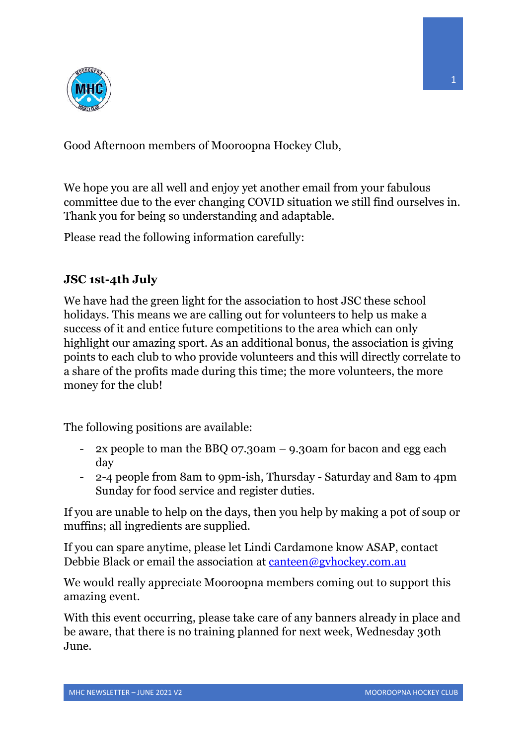

Good Afternoon members of Mooroopna Hockey Club,

We hope you are all well and enjoy yet another email from your fabulous committee due to the ever changing COVID situation we still find ourselves in. Thank you for being so understanding and adaptable.

Please read the following information carefully:

## **JSC 1st-4th July**

We have had the green light for the association to host JSC these school holidays. This means we are calling out for volunteers to help us make a success of it and entice future competitions to the area which can only highlight our amazing sport. As an additional bonus, the association is giving points to each club to who provide volunteers and this will directly correlate to a share of the profits made during this time; the more volunteers, the more money for the club!

The following positions are available:

- 2x people to man the BBQ 07.30am 9.30am for bacon and egg each day
- 2-4 people from 8am to 9pm-ish, Thursday Saturday and 8am to 4pm Sunday for food service and register duties.

If you are unable to help on the days, then you help by making a pot of soup or muffins; all ingredients are supplied.

If you can spare anytime, please let Lindi Cardamone know ASAP, contact Debbie Black or email the association at canteen@gvhockey.com.au

We would really appreciate Mooroopna members coming out to support this amazing event.

With this event occurring, please take care of any banners already in place and be aware, that there is no training planned for next week, Wednesday 30th June.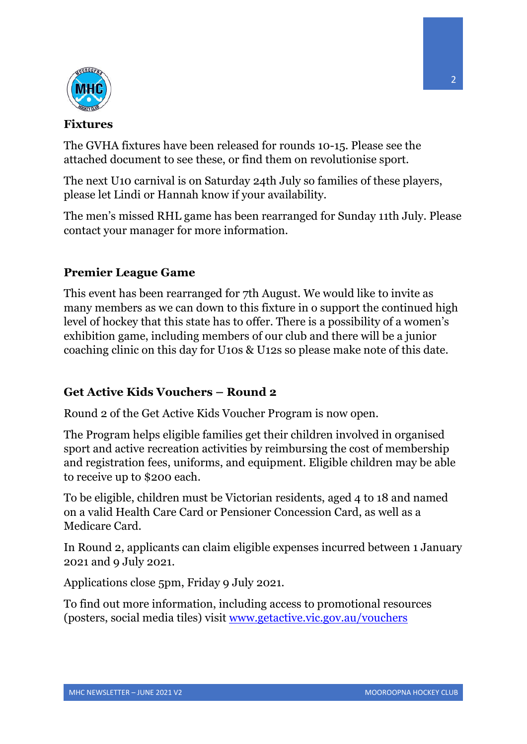

## **Fixtures**

The GVHA fixtures have been released for rounds 10-15. Please see the attached document to see these, or find them on revolutionise sport.

The next U10 carnival is on Saturday 24th July so families of these players, please let Lindi or Hannah know if your availability.

The men's missed RHL game has been rearranged for Sunday 11th July. Please contact your manager for more information.

## **Premier League Game**

This event has been rearranged for 7th August. We would like to invite as many members as we can down to this fixture in o support the continued high level of hockey that this state has to offer. There is a possibility of a women's exhibition game, including members of our club and there will be a junior coaching clinic on this day for U10s & U12s so please make note of this date.

## **Get Active Kids Vouchers – Round 2**

Round 2 of the Get Active Kids Voucher Program is now open.

The Program helps eligible families get their children involved in organised sport and active recreation activities by reimbursing the cost of membership and registration fees, uniforms, and equipment. Eligible children may be able to receive up to \$200 each.

To be eligible, children must be Victorian residents, aged 4 to 18 and named on a valid Health Care Card or Pensioner Concession Card, as well as a Medicare Card.

In Round 2, applicants can claim eligible expenses incurred between 1 January 2021 and 9 July 2021.

Applications close 5pm, Friday 9 July 2021.

To find out more information, including access to promotional resources (posters, social media tiles) visit www.getactive.vic.gov.au/vouchers